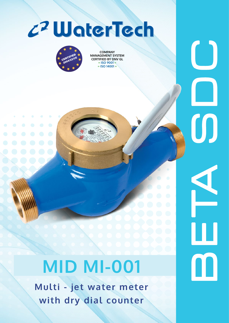



**COMPANY MANAGEMENT SYSTEM CERTIFIED BY DNV GL = ISO 9001 = = ISO 14001 =**

B E TA S D C

H.

 $\blacksquare$ 

 $\bm{\mathsf{O}}$ 

 $\bigcup$ 

## **MID MI-001**

**Multi - jet water meter with dry dial counter**